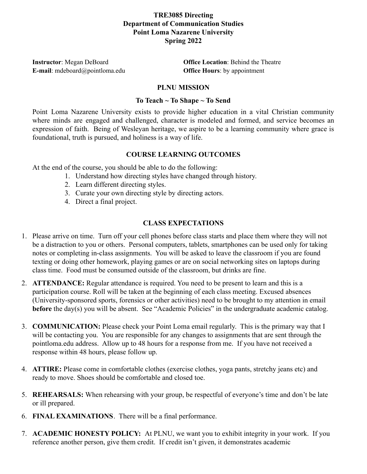# **TRE3085 Directing Department of Communication Studies Point Loma Nazarene University Spring 2022**

**E-mail**: mdeboard@pointloma.edu **Office Hours**: by appointment

**Instructor**: Megan DeBoard **Office Location**: Behind the Theatre

# **PLNU MISSION**

# **To Teach ~ To Shape ~ To Send**

Point Loma Nazarene University exists to provide higher education in a vital Christian community where minds are engaged and challenged, character is modeled and formed, and service becomes an expression of faith. Being of Wesleyan heritage, we aspire to be a learning community where grace is foundational, truth is pursued, and holiness is a way of life.

# **COURSE LEARNING OUTCOMES**

At the end of the course, you should be able to do the following:

- 1. Understand how directing styles have changed through history.
- 2. Learn different directing styles.
- 3. Curate your own directing style by directing actors.
- 4. Direct a final project.

# **CLASS EXPECTATIONS**

- 1. Please arrive on time. Turn off your cell phones before class starts and place them where they will not be a distraction to you or others. Personal computers, tablets, smartphones can be used only for taking notes or completing in-class assignments. You will be asked to leave the classroom if you are found texting or doing other homework, playing games or are on social networking sites on laptops during class time. Food must be consumed outside of the classroom, but drinks are fine.
- 2. **ATTENDANCE:** Regular attendance is required. You need to be present to learn and this is a participation course. Roll will be taken at the beginning of each class meeting. Excused absences (University-sponsored sports, forensics or other activities) need to be brought to my attention in email **before** the day(s) you will be absent. See "Academic Policies" in the undergraduate academic catalog.
- 3. **COMMUNICATION:** Please check your Point Loma email regularly. This is the primary way that I will be contacting you. You are responsible for any changes to assignments that are sent through the pointloma.edu address. Allow up to 48 hours for a response from me. If you have not received a response within 48 hours, please follow up.
- 4. **ATTIRE:** Please come in comfortable clothes (exercise clothes, yoga pants, stretchy jeans etc) and ready to move. Shoes should be comfortable and closed toe.
- 5. **REHEARSALS:** When rehearsing with your group, be respectful of everyone's time and don't be late or ill prepared.
- 6. **FINAL EXAMINATIONS**. There will be a final performance.
- 7. **ACADEMIC HONESTY POLICY:** At PLNU, we want you to exhibit integrity in your work. If you reference another person, give them credit. If credit isn't given, it demonstrates academic